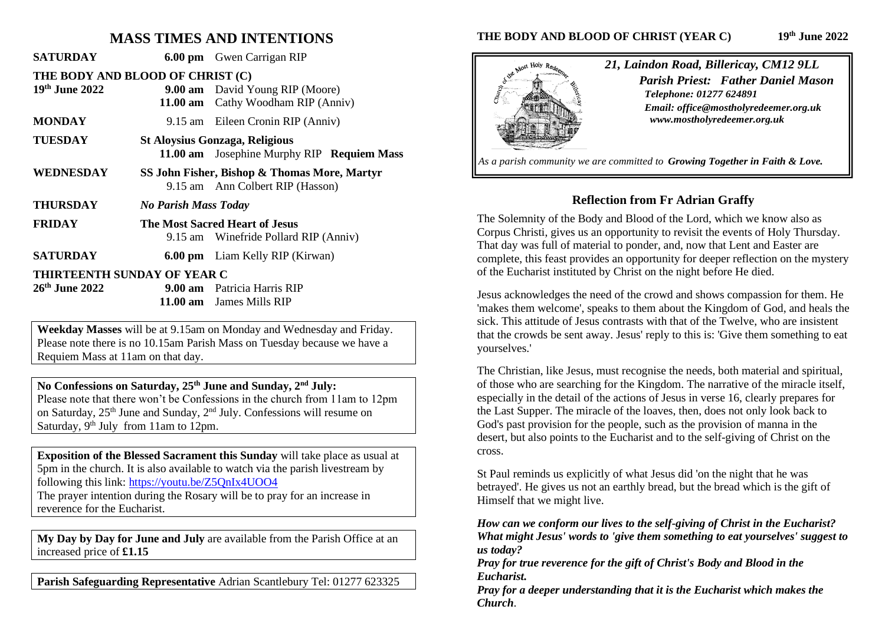## **MASS TIMES AND INTENTIONS**

| <b>SATURDAY</b>                                                                                                   |                                                                         | <b>6.00 pm</b> Gwen Carrigan RIP                                                    |
|-------------------------------------------------------------------------------------------------------------------|-------------------------------------------------------------------------|-------------------------------------------------------------------------------------|
| THE BODY AND BLOOD OF CHRIST (C)<br>$19th$ June 2022                                                              |                                                                         | 9.00 am David Young RIP (Moore)<br>11.00 am Cathy Woodham RIP (Anniv)               |
| <b>MONDAY</b>                                                                                                     |                                                                         | 9.15 am Eileen Cronin RIP (Anniv)                                                   |
| <b>TUESDAY</b>                                                                                                    |                                                                         | <b>St Aloysius Gonzaga, Religious</b><br>11.00 am Josephine Murphy RIP Requiem Mass |
| WEDNESDAY                                                                                                         |                                                                         | SS John Fisher, Bishop & Thomas More, Martyr<br>9.15 am Ann Colbert RIP (Hasson)    |
| <b>THURSDAY</b>                                                                                                   | <b>No Parish Mass Today</b>                                             |                                                                                     |
| <b>FRIDAY</b>                                                                                                     | The Most Sacred Heart of Jesus<br>9.15 am Winefride Pollard RIP (Anniv) |                                                                                     |
| <b>SATURDAY</b>                                                                                                   |                                                                         | <b>6.00 pm</b> Liam Kelly RIP (Kirwan)                                              |
| THIRTEENTH SUNDAY OF YEAR C<br>$26th$ June 2022<br><b>9.00 am</b> Patricia Harris RIP<br>11.00 am James Mills RIP |                                                                         |                                                                                     |
|                                                                                                                   |                                                                         |                                                                                     |

**Weekday Masses** will be at 9.15am on Monday and Wednesday and Friday. Please note there is no 10.15am Parish Mass on Tuesday because we have a Requiem Mass at 11am on that day.

**No Confessions on Saturday, 25th June and Sunday, 2nd July:**  Please note that there won't be Confessions in the church from 11am to 12pm on Saturday,  $25<sup>th</sup>$  June and Sunday,  $2<sup>nd</sup>$  July. Confessions will resume on Saturday,  $9<sup>th</sup>$  July from 11am to 12pm.

**Exposition of the Blessed Sacrament this Sunday** will take place as usual at 5pm in the church. It is also available to watch via the parish livestream by following this link:<https://youtu.be/Z5QnIx4UOO4> The prayer intention during the Rosary will be to pray for an increase in

reverence for the Eucharist.

**My Day by Day for June and July** are available from the Parish Office at an increased price of **£1.15**

**Parish Safeguarding Representative** Adrian Scantlebury Tel: 01277 623325

### **THE BODY AND BLOOD OF CHRIST (YEAR C) 19**



*21, Laindon Road, Billericay, CM12 9LL Parish Priest: Father Daniel Mason Telephone: 01277 624891 Email: office@mostholyredeemer.org.uk www.mostholyredeemer.org.uk*

*As a parish community we are committed to Growing Together in Faith & Love.*

## **Reflection from Fr Adrian Graffy**

The Solemnity of the Body and Blood of the Lord, which we know also as Corpus Christi, gives us an opportunity to revisit the events of Holy Thursday. That day was full of material to ponder, and, now that Lent and Easter are complete, this feast provides an opportunity for deeper reflection on the mystery of the Eucharist instituted by Christ on the night before He died.

Jesus acknowledges the need of the crowd and shows compassion for them. He 'makes them welcome', speaks to them about the Kingdom of God, and heals the sick. This attitude of Jesus contrasts with that of the Twelve, who are insistent that the crowds be sent away. Jesus' reply to this is: 'Give them something to eat yourselves.'

The Christian, like Jesus, must recognise the needs, both material and spiritual, of those who are searching for the Kingdom. The narrative of the miracle itself, especially in the detail of the actions of Jesus in verse 16, clearly prepares for the Last Supper. The miracle of the loaves, then, does not only look back to God's past provision for the people, such as the provision of manna in the desert, but also points to the Eucharist and to the self-giving of Christ on the cross.

St Paul reminds us explicitly of what Jesus did 'on the night that he was betrayed'. He gives us not an earthly bread, but the bread which is the gift of Himself that we might live.

*How can we conform our lives to the self-giving of Christ in the Eucharist? What might Jesus' words to 'give them something to eat yourselves' suggest to us today?*

*Pray for true reverence for the gift of Christ's Body and Blood in the Eucharist.*

*Pray for a deeper understanding that it is the Eucharist which makes the Church*.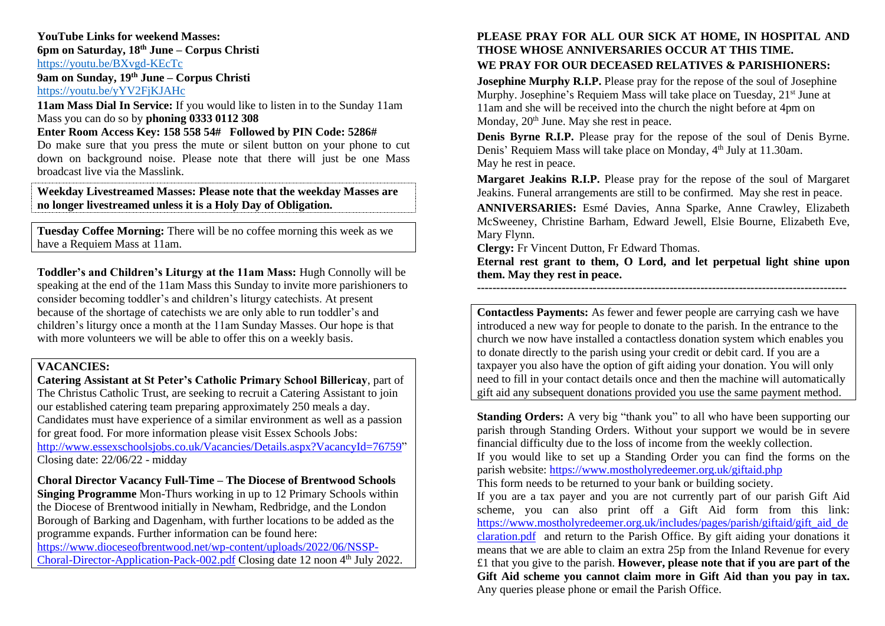### **YouTube Links for weekend Masses:**

#### **6pm on Saturday, 18 th June – Corpus Christi** <https://youtu.be/BXvgd-KEcTc>

**9am on Sunday, 19 th June – Corpus Christi**

<https://youtu.be/yYV2FjKJAHc>

**11am Mass Dial In Service:** If you would like to listen in to the Sunday 11am Mass you can do so by **phoning 0333 0112 308** 

**Enter Room Access Key: 158 558 54# Followed by PIN Code: 5286#** Do make sure that you press the mute or silent button on your phone to cut down on background noise. Please note that there will just be one Mass broadcast live via the Masslink.

**Weekday Livestreamed Masses: Please note that the weekday Masses are no longer livestreamed unless it is a Holy Day of Obligation.**

**Tuesday Coffee Morning:** There will be no coffee morning this week as we have a Requiem Mass at 11am.

**Toddler's and Children's Liturgy at the 11am Mass:** Hugh Connolly will be speaking at the end of the 11am Mass this Sunday to invite more parishioners to consider becoming toddler's and children's liturgy catechists. At present because of the shortage of catechists we are only able to run toddler's and children's liturgy once a month at the 11am Sunday Masses. Our hope is that with more volunteers we will be able to offer this on a weekly basis.

## **VACANCIES:**

**Catering Assistant at St Peter's Catholic Primary School Billericay**, part of The Christus Catholic Trust, are seeking to recruit a Catering Assistant to join our established catering team preparing approximately 250 meals a day. Candidates must have experience of a similar environment as well as a passion for great food. For more information please visit Essex Schools Jobs: [http://www.essexschoolsjobs.co.uk/Vacancies/Details.aspx?VacancyId=76759"](http://www.essexschoolsjobs.co.uk/Vacancies/Details.aspx?VacancyId=76759) Closing date: 22/06/22 - midday

**Choral Director Vacancy Full-Time – The Diocese of Brentwood Schools Singing Programme** Mon-Thurs working in up to 12 Primary Schools within the Diocese of Brentwood initially in Newham, Redbridge, and the London Borough of Barking and Dagenham, with further locations to be added as the programme expands. Further information can be found here:

[https://www.dioceseofbrentwood.net/wp-content/uploads/2022/06/NSSP-](https://www.dioceseofbrentwood.net/wp-content/uploads/2022/06/NSSP-Choral-Director-Application-Pack-002.pdf)[Choral-Director-Application-Pack-002.pdf](https://www.dioceseofbrentwood.net/wp-content/uploads/2022/06/NSSP-Choral-Director-Application-Pack-002.pdf) Closing date 12 noon 4<sup>th</sup> July 2022.

### **PLEASE PRAY FOR ALL OUR SICK AT HOME, IN HOSPITAL AND THOSE WHOSE ANNIVERSARIES OCCUR AT THIS TIME. WE PRAY FOR OUR DECEASED RELATIVES & PARISHIONERS:**

**Josephine Murphy R.I.P.** Please pray for the repose of the soul of Josephine Murphy. Josephine's Requiem Mass will take place on Tuesday, 21<sup>st</sup> June at 11am and she will be received into the church the night before at 4pm on Monday,  $20<sup>th</sup>$  June. May she rest in peace.

**Denis Byrne R.I.P.** Please pray for the repose of the soul of Denis Byrne. Denis' Requiem Mass will take place on Monday, 4<sup>th</sup> July at 11.30am. May he rest in peace.

**Margaret Jeakins R.I.P.** Please pray for the repose of the soul of Margaret Jeakins. Funeral arrangements are still to be confirmed. May she rest in peace.

**ANNIVERSARIES:** Esmé Davies, Anna Sparke, Anne Crawley, Elizabeth McSweeney, Christine Barham, Edward Jewell, Elsie Bourne, Elizabeth Eve, Mary Flynn.

**Clergy:** Fr Vincent Dutton, Fr Edward Thomas.

**Eternal rest grant to them, O Lord, and let perpetual light shine upon them. May they rest in peace.** 

**------------------------------------------------------------------------------------------------**

**Contactless Payments:** As fewer and fewer people are carrying cash we have introduced a new way for people to donate to the parish. In the entrance to the church we now have installed a contactless donation system which enables you to donate directly to the parish using your credit or debit card. If you are a taxpayer you also have the option of gift aiding your donation. You will only need to fill in your contact details once and then the machine will automatically gift aid any subsequent donations provided you use the same payment method.

**Standing Orders:** A very big "thank you" to all who have been supporting our parish through Standing Orders. Without your support we would be in severe financial difficulty due to the loss of income from the weekly collection. If you would like to set up a Standing Order you can find the forms on the parish website:<https://www.mostholyredeemer.org.uk/giftaid.php> This form needs to be returned to your bank or building society.

If you are a tax payer and you are not currently part of our parish Gift Aid scheme, you can also print off a Gift Aid form from this link: [https://www.mostholyredeemer.org.uk/includes/pages/parish/giftaid/gift\\_aid\\_de](https://www.mostholyredeemer.org.uk/includes/pages/parish/giftaid/gift_aid_declaration.pdf) [claration.pdf](https://www.mostholyredeemer.org.uk/includes/pages/parish/giftaid/gift_aid_declaration.pdf) and return to the Parish Office. By gift aiding your donations it means that we are able to claim an extra 25p from the Inland Revenue for every £1 that you give to the parish. **However, please note that if you are part of the Gift Aid scheme you cannot claim more in Gift Aid than you pay in tax.** Any queries please phone or email the Parish Office.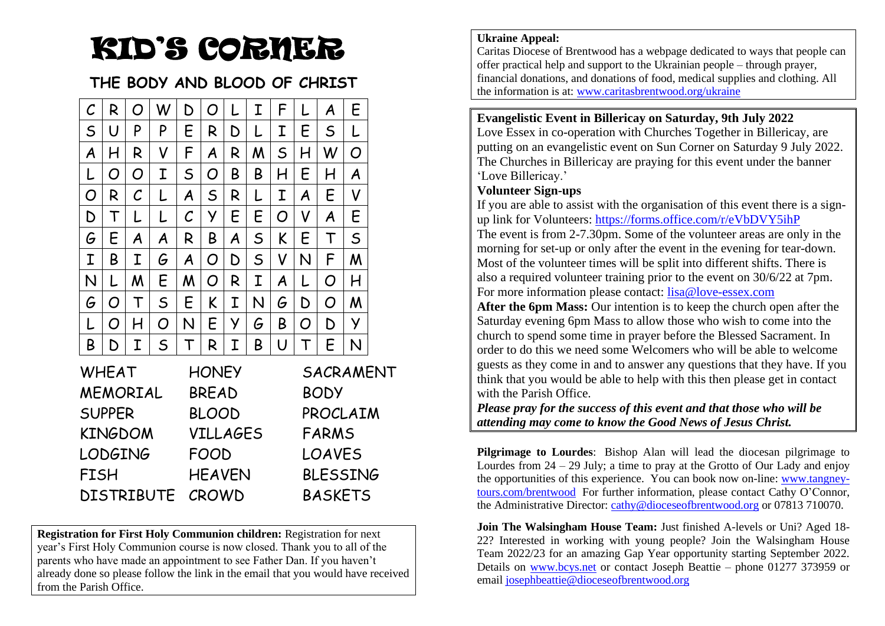# KID'S CORNER

## **THE BODY AND BLOOD OF CHRIST**



**Registration for First Holy Communion children:** Registration for next year's First Holy Communion course is now closed. Thank you to all of the parents who have made an appointment to see Father Dan. If you haven't already done so please follow the link in the email that you would have received from the Parish Office.

## **Ukraine Appeal:**

Caritas Diocese of Brentwood has a webpage dedicated to ways that people can offer practical help and support to the Ukrainian people – through prayer, financial donations, and donations of food, medical supplies and clothing. All the information is at:<www.caritasbrentwood.org/ukraine>

## **Evangelistic Event in Billericay on Saturday, 9th July 2022**

Love Essex in co-operation with Churches Together in Billericay, are putting on an evangelistic event on Sun Corner on Saturday 9 July 2022. The Churches in Billericay are praying for this event under the banner 'Love Billericay.'

## **Volunteer Sign-ups**

If you are able to assist with the organisation of this event there is a signup link for Volunteers:<https://forms.office.com/r/eVbDVY5ihP> The event is from 2-7.30pm. Some of the volunteer areas are only in the morning for set-up or only after the event in the evening for tear-down. Most of the volunteer times will be split into different shifts. There is also a required volunteer training prior to the event on 30/6/22 at 7pm. For more information please contact:<lisa@love-essex.com>

**After the 6pm Mass:** Our intention is to keep the church open after the Saturday evening 6pm Mass to allow those who wish to come into the church to spend some time in prayer before the Blessed Sacrament. In order to do this we need some Welcomers who will be able to welcome guests as they come in and to answer any questions that they have. If you think that you would be able to help with this then please get in contact with the Parish Office.

*Please pray for the success of this event and that those who will be attending may come to know the Good News of Jesus Christ.*

**Pilgrimage to Lourdes**: Bishop Alan will lead the diocesan pilgrimage to Lourdes from  $24 - 29$  July; a time to pray at the Grotto of Our Lady and enjoy the opportunities of this experience. You can book now on-line: [www.tangney](http://www.tangney-tours.com/brentwood)[tours.com/brentwood](http://www.tangney-tours.com/brentwood) For further information, please contact Cathy O'Connor, the Administrative Director: [cathy@dioceseofbrentwood.org](mailto:cathy@dioceseofbrentwood.org) or 07813 710070.

**Join The Walsingham House Team:** Just finished A-levels or Uni? Aged 18- 22? Interested in working with young people? Join the Walsingham House Team 2022/23 for an amazing Gap Year opportunity starting September 2022. Details on [www.bcys.net](http://www.bcys.net/) or contact Joseph Beattie – phone 01277 373959 or email [josephbeattie@dioceseofbrentwood.org](mailto:josephbeattie@dioceseofbrentwood.org)